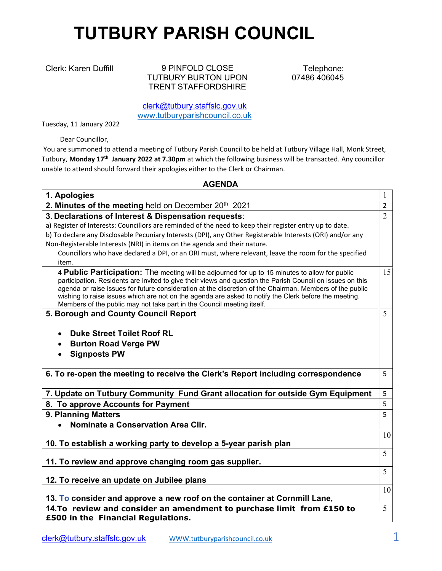## TUTBURY PARISH COUNCIL

Clerk: Karen Duffill 9 PINFOLD CLOSE TUTBURY BURTON UPON TRENT STAFFORDSHIRE

Telephone: 07486 406045

clerk@tutbury.staffslc.gov.uk www.tutburyparishcouncil.co.uk

Tuesday, 11 January 2022

Dear Councillor,

 You are summoned to attend a meeting of Tutbury Parish Council to be held at Tutbury Village Hall, Monk Street, Tutbury, Monday 17<sup>th</sup> January 2022 at 7.30pm at which the following business will be transacted. Any councillor unable to attend should forward their apologies either to the Clerk or Chairman.

## AGENDA

| 1. Apologies                                                                                                                                                                                                                                                                                                                                                                                                                                                                                                |                |  |  |  |
|-------------------------------------------------------------------------------------------------------------------------------------------------------------------------------------------------------------------------------------------------------------------------------------------------------------------------------------------------------------------------------------------------------------------------------------------------------------------------------------------------------------|----------------|--|--|--|
| 2. Minutes of the meeting held on December 20 <sup>th</sup> 2021                                                                                                                                                                                                                                                                                                                                                                                                                                            | $\overline{2}$ |  |  |  |
| 3. Declarations of Interest & Dispensation requests:                                                                                                                                                                                                                                                                                                                                                                                                                                                        | $\overline{2}$ |  |  |  |
| a) Register of Interests: Councillors are reminded of the need to keep their register entry up to date.                                                                                                                                                                                                                                                                                                                                                                                                     |                |  |  |  |
| b) To declare any Disclosable Pecuniary Interests (DPI), any Other Registerable Interests (ORI) and/or any                                                                                                                                                                                                                                                                                                                                                                                                  |                |  |  |  |
| Non-Registerable Interests (NRI) in items on the agenda and their nature.                                                                                                                                                                                                                                                                                                                                                                                                                                   |                |  |  |  |
| Councillors who have declared a DPI, or an ORI must, where relevant, leave the room for the specified                                                                                                                                                                                                                                                                                                                                                                                                       |                |  |  |  |
| item.                                                                                                                                                                                                                                                                                                                                                                                                                                                                                                       |                |  |  |  |
| 4 Public Participation: The meeting will be adjourned for up to 15 minutes to allow for public<br>participation. Residents are invited to give their views and question the Parish Council on issues on this<br>agenda or raise issues for future consideration at the discretion of the Chairman. Members of the public<br>wishing to raise issues which are not on the agenda are asked to notify the Clerk before the meeting.<br>Members of the public may not take part in the Council meeting itself. | 15             |  |  |  |
| 5. Borough and County Council Report                                                                                                                                                                                                                                                                                                                                                                                                                                                                        | 5              |  |  |  |
|                                                                                                                                                                                                                                                                                                                                                                                                                                                                                                             |                |  |  |  |
| <b>Duke Street Toilet Roof RL</b>                                                                                                                                                                                                                                                                                                                                                                                                                                                                           |                |  |  |  |
| <b>Burton Road Verge PW</b><br>$\bullet$                                                                                                                                                                                                                                                                                                                                                                                                                                                                    |                |  |  |  |
| <b>Signposts PW</b><br>$\bullet$                                                                                                                                                                                                                                                                                                                                                                                                                                                                            |                |  |  |  |
|                                                                                                                                                                                                                                                                                                                                                                                                                                                                                                             |                |  |  |  |
| 6. To re-open the meeting to receive the Clerk's Report including correspondence                                                                                                                                                                                                                                                                                                                                                                                                                            | 5              |  |  |  |
| 7. Update on Tutbury Community Fund Grant allocation for outside Gym Equipment                                                                                                                                                                                                                                                                                                                                                                                                                              | 5              |  |  |  |
| 8. To approve Accounts for Payment                                                                                                                                                                                                                                                                                                                                                                                                                                                                          | 5              |  |  |  |
| 9. Planning Matters                                                                                                                                                                                                                                                                                                                                                                                                                                                                                         | 5              |  |  |  |
| Nominate a Conservation Area Cllr.                                                                                                                                                                                                                                                                                                                                                                                                                                                                          |                |  |  |  |
|                                                                                                                                                                                                                                                                                                                                                                                                                                                                                                             | 10             |  |  |  |
| 10. To establish a working party to develop a 5-year parish plan                                                                                                                                                                                                                                                                                                                                                                                                                                            |                |  |  |  |
|                                                                                                                                                                                                                                                                                                                                                                                                                                                                                                             | 5              |  |  |  |
| 11. To review and approve changing room gas supplier.                                                                                                                                                                                                                                                                                                                                                                                                                                                       |                |  |  |  |
|                                                                                                                                                                                                                                                                                                                                                                                                                                                                                                             | 5              |  |  |  |
| 12. To receive an update on Jubilee plans                                                                                                                                                                                                                                                                                                                                                                                                                                                                   |                |  |  |  |
| 13. To consider and approve a new roof on the container at Cornmill Lane,                                                                                                                                                                                                                                                                                                                                                                                                                                   | 10             |  |  |  |
| 14. To review and consider an amendment to purchase limit from £150 to<br>£500 in the Financial Regulations.                                                                                                                                                                                                                                                                                                                                                                                                | 5              |  |  |  |
|                                                                                                                                                                                                                                                                                                                                                                                                                                                                                                             |                |  |  |  |